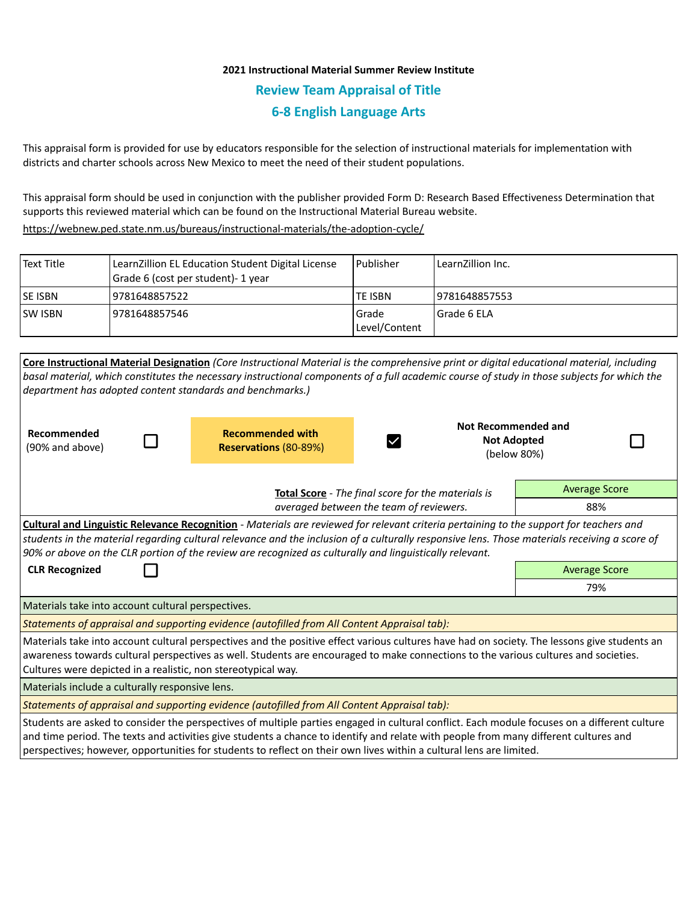## **2021 Instructional Material Summer Review Institute Review Team Appraisal of Title 6-8 English Language Arts**

This appraisal form is provided for use by educators responsible for the selection of instructional materials for implementation with districts and charter schools across New Mexico to meet the need of their student populations.

This appraisal form should be used in conjunction with the publisher provided Form D: Research Based Effectiveness Determination that supports this reviewed material which can be found on the Instructional Material Bureau website.

<https://webnew.ped.state.nm.us/bureaus/instructional-materials/the-adoption-cycle/>

| Text Title     | LearnZillion EL Education Student Digital License<br>Grade 6 (cost per student)- 1 year | l Publisher            | LearnZillion Inc. |
|----------------|-----------------------------------------------------------------------------------------|------------------------|-------------------|
| <b>SE ISBN</b> | 9781648857522                                                                           | TE ISBN                | 19781648857553    |
| <b>SW ISBN</b> | 9781648857546                                                                           | Grade<br>Level/Content | l Grade 6 ELA     |

| Core Instructional Material Designation (Core Instructional Material is the comprehensive print or digital educational material, including                                                                                                                                                                                                                                                                  |                                                  |                      |                                                                 |  |  |  |
|-------------------------------------------------------------------------------------------------------------------------------------------------------------------------------------------------------------------------------------------------------------------------------------------------------------------------------------------------------------------------------------------------------------|--------------------------------------------------|----------------------|-----------------------------------------------------------------|--|--|--|
| basal material, which constitutes the necessary instructional components of a full academic course of study in those subjects for which the                                                                                                                                                                                                                                                                 |                                                  |                      |                                                                 |  |  |  |
| department has adopted content standards and benchmarks.)                                                                                                                                                                                                                                                                                                                                                   |                                                  |                      |                                                                 |  |  |  |
| Recommended<br>(90% and above)                                                                                                                                                                                                                                                                                                                                                                              | <b>Recommended with</b><br>Reservations (80-89%) |                      | <b>Not Recommended and</b><br><b>Not Adopted</b><br>(below 80%) |  |  |  |
| <b>Total Score</b> - The final score for the materials is<br>averaged between the team of reviewers.                                                                                                                                                                                                                                                                                                        |                                                  | <b>Average Score</b> |                                                                 |  |  |  |
|                                                                                                                                                                                                                                                                                                                                                                                                             |                                                  |                      | 88%                                                             |  |  |  |
| Cultural and Linguistic Relevance Recognition - Materials are reviewed for relevant criteria pertaining to the support for teachers and<br>students in the material regarding cultural relevance and the inclusion of a culturally responsive lens. Those materials receiving a score of<br>90% or above on the CLR portion of the review are recognized as culturally and linguistically relevant.         |                                                  |                      |                                                                 |  |  |  |
| <b>CLR Recognized</b>                                                                                                                                                                                                                                                                                                                                                                                       | <b>Average Score</b>                             |                      |                                                                 |  |  |  |
|                                                                                                                                                                                                                                                                                                                                                                                                             | 79%                                              |                      |                                                                 |  |  |  |
| Materials take into account cultural perspectives.                                                                                                                                                                                                                                                                                                                                                          |                                                  |                      |                                                                 |  |  |  |
| Statements of appraisal and supporting evidence (autofilled from All Content Appraisal tab):                                                                                                                                                                                                                                                                                                                |                                                  |                      |                                                                 |  |  |  |
| Materials take into account cultural perspectives and the positive effect various cultures have had on society. The lessons give students an<br>awareness towards cultural perspectives as well. Students are encouraged to make connections to the various cultures and societies.<br>Cultures were depicted in a realistic, non stereotypical way.                                                        |                                                  |                      |                                                                 |  |  |  |
| Materials include a culturally responsive lens.                                                                                                                                                                                                                                                                                                                                                             |                                                  |                      |                                                                 |  |  |  |
| Statements of appraisal and supporting evidence (autofilled from All Content Appraisal tab):                                                                                                                                                                                                                                                                                                                |                                                  |                      |                                                                 |  |  |  |
| Students are asked to consider the perspectives of multiple parties engaged in cultural conflict. Each module focuses on a different culture<br>and time period. The texts and activities give students a chance to identify and relate with people from many different cultures and<br>perspectives; however, opportunities for students to reflect on their own lives within a cultural lens are limited. |                                                  |                      |                                                                 |  |  |  |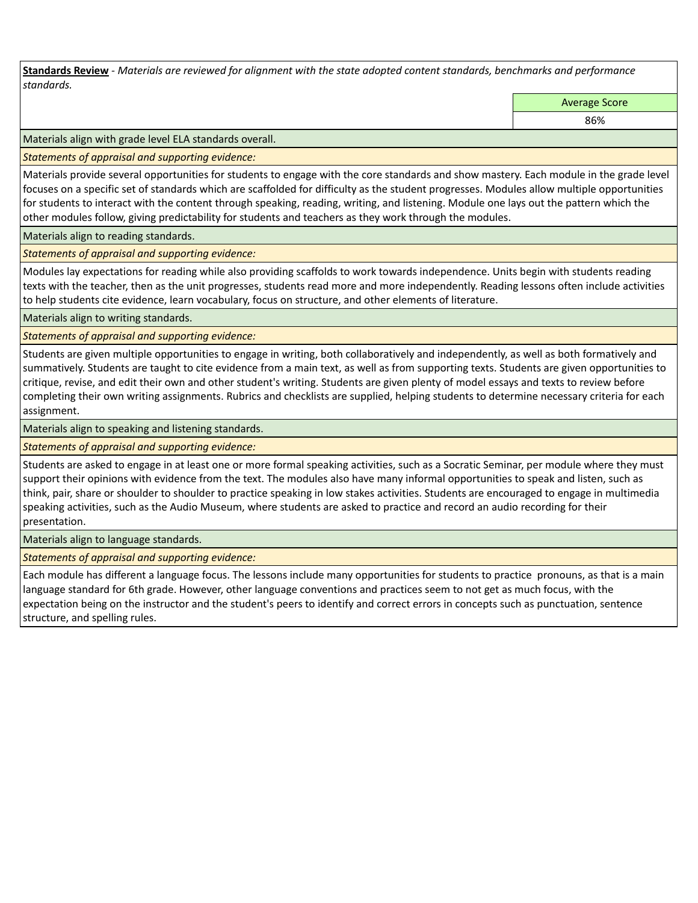**Standards Review** *- Materials are reviewed for alignment with the state adopted content standards, benchmarks and performance standards.*

Average Score

86%

Materials align with grade level ELA standards overall.

*Statements of appraisal and supporting evidence:* 

Materials provide several opportunities for students to engage with the core standards and show mastery. Each module in the grade level focuses on a specific set of standards which are scaffolded for difficulty as the student progresses. Modules allow multiple opportunities for students to interact with the content through speaking, reading, writing, and listening. Module one lays out the pattern which the other modules follow, giving predictability for students and teachers as they work through the modules.

Materials align to reading standards.

*Statements of appraisal and supporting evidence:* 

Modules lay expectations for reading while also providing scaffolds to work towards independence. Units begin with students reading texts with the teacher, then as the unit progresses, students read more and more independently. Reading lessons often include activities to help students cite evidence, learn vocabulary, focus on structure, and other elements of literature.

Materials align to writing standards.

*Statements of appraisal and supporting evidence:* 

Students are given multiple opportunities to engage in writing, both collaboratively and independently, as well as both formatively and summatively. Students are taught to cite evidence from a main text, as well as from supporting texts. Students are given opportunities to critique, revise, and edit their own and other student's writing. Students are given plenty of model essays and texts to review before completing their own writing assignments. Rubrics and checklists are supplied, helping students to determine necessary criteria for each assignment.

Materials align to speaking and listening standards.

*Statements of appraisal and supporting evidence:* 

Students are asked to engage in at least one or more formal speaking activities, such as a Socratic Seminar, per module where they must support their opinions with evidence from the text. The modules also have many informal opportunities to speak and listen, such as think, pair, share or shoulder to shoulder to practice speaking in low stakes activities. Students are encouraged to engage in multimedia speaking activities, such as the Audio Museum, where students are asked to practice and record an audio recording for their presentation.

Materials align to language standards.

*Statements of appraisal and supporting evidence:* 

Each module has different a language focus. The lessons include many opportunities for students to practice pronouns, as that is a main language standard for 6th grade. However, other language conventions and practices seem to not get as much focus, with the expectation being on the instructor and the student's peers to identify and correct errors in concepts such as punctuation, sentence structure, and spelling rules.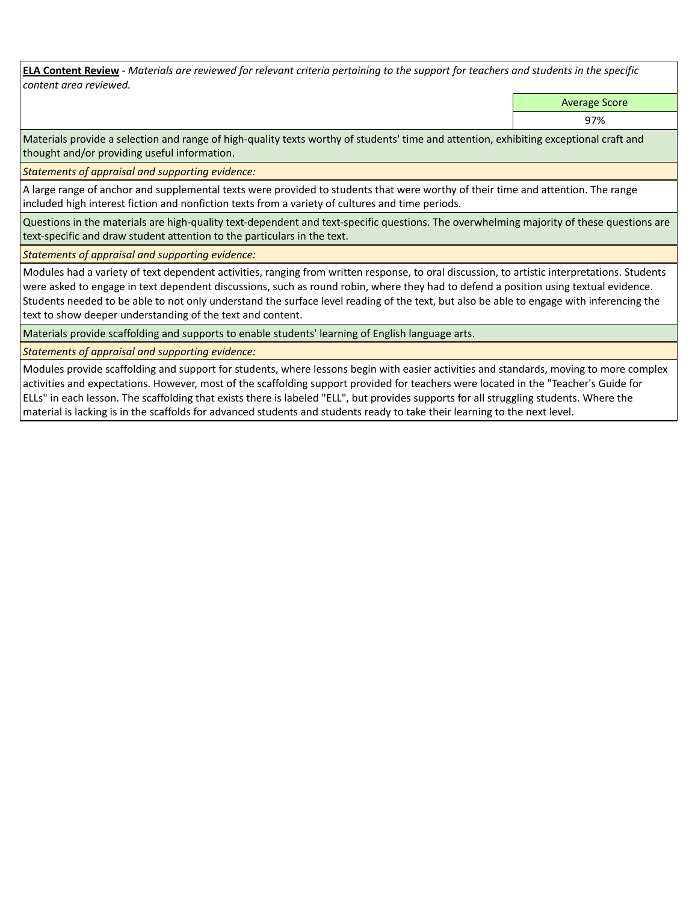**ELA Content Review** *- Materials are reviewed for relevant criteria pertaining to the support for teachers and students in the specific content area reviewed.*

Average Score

97%

Materials provide a selection and range of high-quality texts worthy of students' time and attention, exhibiting exceptional craft and thought and/or providing useful information.

*Statements of appraisal and supporting evidence:* 

A large range of anchor and supplemental texts were provided to students that were worthy of their time and attention. The range included high interest fiction and nonfiction texts from a variety of cultures and time periods.

Questions in the materials are high-quality text-dependent and text-specific questions. The overwhelming majority of these questions are text-specific and draw student attention to the particulars in the text.

*Statements of appraisal and supporting evidence:* 

Modules had a variety of text dependent activities, ranging from written response, to oral discussion, to artistic interpretations. Students were asked to engage in text dependent discussions, such as round robin, where they had to defend a position using textual evidence. Students needed to be able to not only understand the surface level reading of the text, but also be able to engage with inferencing the text to show deeper understanding of the text and content.

Materials provide scaffolding and supports to enable students' learning of English language arts.

*Statements of appraisal and supporting evidence:* 

Modules provide scaffolding and support for students, where lessons begin with easier activities and standards, moving to more complex activities and expectations. However, most of the scaffolding support provided for teachers were located in the "Teacher's Guide for ELLs" in each lesson. The scaffolding that exists there is labeled "ELL", but provides supports for all struggling students. Where the material is lacking is in the scaffolds for advanced students and students ready to take their learning to the next level.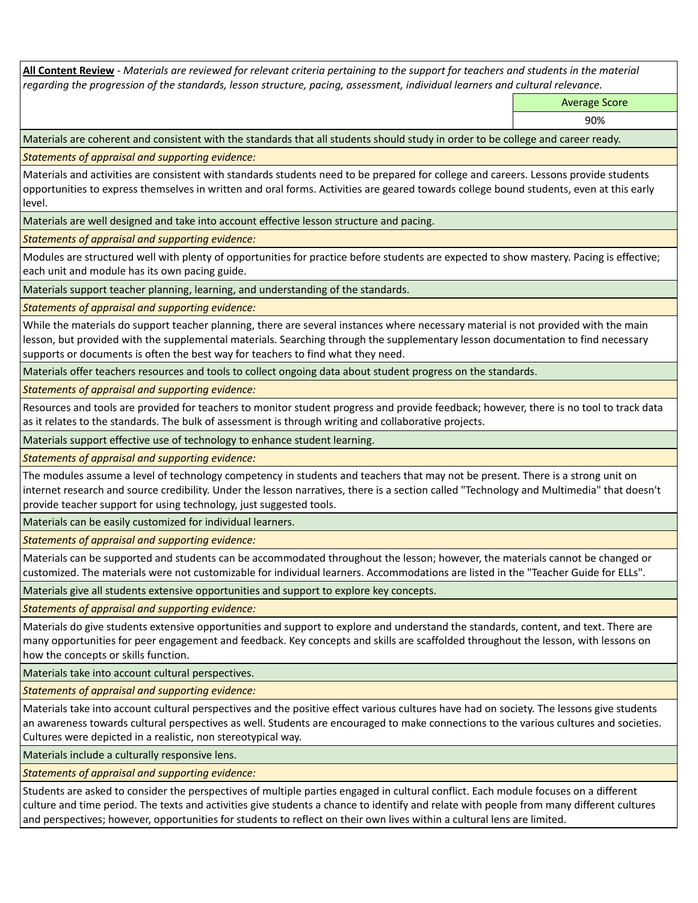**All Content Review** *- Materials are reviewed for relevant criteria pertaining to the support for teachers and students in the material regarding the progression of the standards, lesson structure, pacing, assessment, individual learners and cultural relevance.*

Average Score

90%

Materials are coherent and consistent with the standards that all students should study in order to be college and career ready.

*Statements of appraisal and supporting evidence:*

Materials and activities are consistent with standards students need to be prepared for college and careers. Lessons provide students opportunities to express themselves in written and oral forms. Activities are geared towards college bound students, even at this early level.

Materials are well designed and take into account effective lesson structure and pacing.

*Statements of appraisal and supporting evidence:*

Modules are structured well with plenty of opportunities for practice before students are expected to show mastery. Pacing is effective; each unit and module has its own pacing guide.

Materials support teacher planning, learning, and understanding of the standards.

*Statements of appraisal and supporting evidence:*

While the materials do support teacher planning, there are several instances where necessary material is not provided with the main lesson, but provided with the supplemental materials. Searching through the supplementary lesson documentation to find necessary supports or documents is often the best way for teachers to find what they need.

Materials offer teachers resources and tools to collect ongoing data about student progress on the standards.

*Statements of appraisal and supporting evidence:*

Resources and tools are provided for teachers to monitor student progress and provide feedback; however, there is no tool to track data as it relates to the standards. The bulk of assessment is through writing and collaborative projects.

Materials support effective use of technology to enhance student learning.

*Statements of appraisal and supporting evidence:*

The modules assume a level of technology competency in students and teachers that may not be present. There is a strong unit on internet research and source credibility. Under the lesson narratives, there is a section called "Technology and Multimedia" that doesn't provide teacher support for using technology, just suggested tools.

Materials can be easily customized for individual learners.

*Statements of appraisal and supporting evidence:* 

Materials can be supported and students can be accommodated throughout the lesson; however, the materials cannot be changed or customized. The materials were not customizable for individual learners. Accommodations are listed in the "Teacher Guide for ELLs".

Materials give all students extensive opportunities and support to explore key concepts.

*Statements of appraisal and supporting evidence:*

Materials do give students extensive opportunities and support to explore and understand the standards, content, and text. There are many opportunities for peer engagement and feedback. Key concepts and skills are scaffolded throughout the lesson, with lessons on how the concepts or skills function.

Materials take into account cultural perspectives.

*Statements of appraisal and supporting evidence:*

Materials take into account cultural perspectives and the positive effect various cultures have had on society. The lessons give students an awareness towards cultural perspectives as well. Students are encouraged to make connections to the various cultures and societies. Cultures were depicted in a realistic, non stereotypical way.

Materials include a culturally responsive lens.

*Statements of appraisal and supporting evidence:*

Students are asked to consider the perspectives of multiple parties engaged in cultural conflict. Each module focuses on a different culture and time period. The texts and activities give students a chance to identify and relate with people from many different cultures and perspectives; however, opportunities for students to reflect on their own lives within a cultural lens are limited.